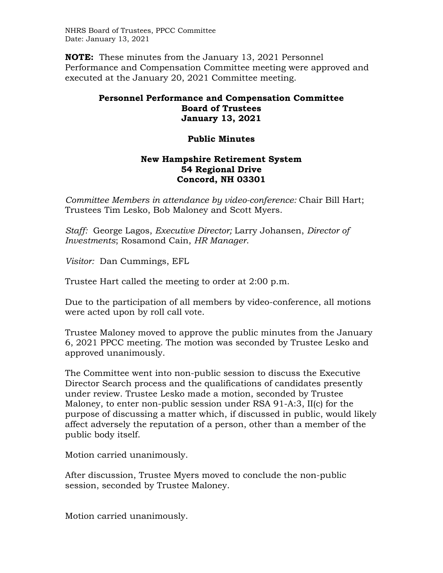NHRS Board of Trustees, PPCC Committee Date: January 13, 2021

**NOTE:** These minutes from the January 13, 2021 Personnel Performance and Compensation Committee meeting were approved and executed at the January 20, 2021 Committee meeting.

## **Personnel Performance and Compensation Committee Board of Trustees January 13, 2021**

## **Public Minutes**

## **New Hampshire Retirement System 54 Regional Drive Concord, NH 03301**

*Committee Members in attendance by video-conference:* Chair Bill Hart; Trustees Tim Lesko, Bob Maloney and Scott Myers.

*Staff:* George Lagos, *Executive Director;* Larry Johansen, *Director of Investments*; Rosamond Cain, *HR Manager*.

*Visitor:* Dan Cummings, EFL

Trustee Hart called the meeting to order at 2:00 p.m.

Due to the participation of all members by video-conference, all motions were acted upon by roll call vote.

Trustee Maloney moved to approve the public minutes from the January 6, 2021 PPCC meeting. The motion was seconded by Trustee Lesko and approved unanimously.

The Committee went into non-public session to discuss the Executive Director Search process and the qualifications of candidates presently under review. Trustee Lesko made a motion, seconded by Trustee Maloney, to enter non-public session under RSA 91-A:3, II(c) for the purpose of discussing a matter which, if discussed in public, would likely affect adversely the reputation of a person, other than a member of the public body itself.

Motion carried unanimously.

After discussion, Trustee Myers moved to conclude the non-public session, seconded by Trustee Maloney.

Motion carried unanimously.